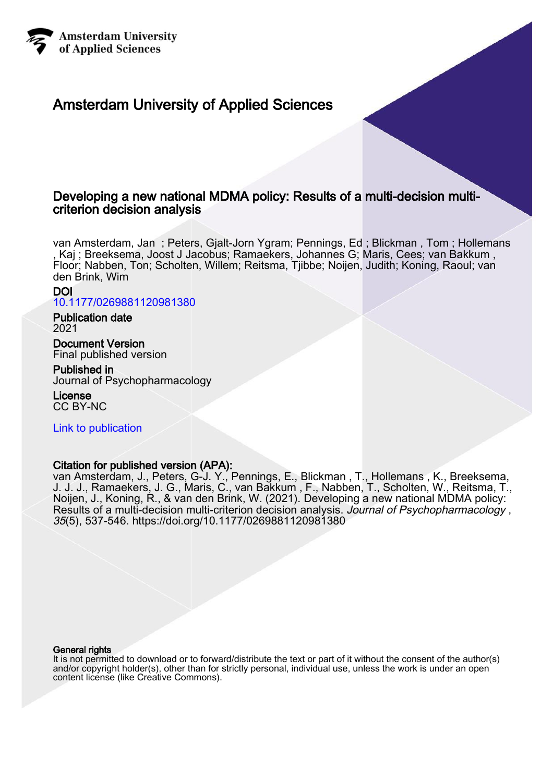

# Amsterdam University of Applied Sciences

# Developing a new national MDMA policy: Results of a multi-decision multicriterion decision analysis

van Amsterdam, Jan ; Peters, Gjalt-Jorn Ygram; Pennings, Ed ; Blickman , Tom ; Hollemans , Kaj ; Breeksema, Joost J Jacobus; Ramaekers, Johannes G; Maris, Cees; van Bakkum , Floor; Nabben, Ton; Scholten, Willem; Reitsma, Tjibbe; Noijen, Judith; Koning, Raoul; van den Brink, Wim

# DOI

[10.1177/0269881120981380](https://doi.org/10.1177/0269881120981380)

# Publication date 2021

Document Version Final published version

# Published in

Journal of Psychopharmacology

License CC BY-NC

[Link to publication](https://research.hva.nl/en/publications/d8ae8f2f-bd83-483c-a28f-ad5acce903ce)

# Citation for published version (APA):

van Amsterdam, J., Peters, G-J. Y., Pennings, E., Blickman , T., Hollemans , K., Breeksema, J. J. J., Ramaekers, J. G., Maris, C., van Bakkum , F., Nabben, T., Scholten, W., Reitsma, T., Noijen, J., Koning, R., & van den Brink, W. (2021). Developing a new national MDMA policy: Results of a multi-decision multi-criterion decision analysis. Journal of Psychopharmacology, 35(5), 537-546.<https://doi.org/10.1177/0269881120981380>

#### General rights

It is not permitted to download or to forward/distribute the text or part of it without the consent of the author(s) and/or copyright holder(s), other than for strictly personal, individual use, unless the work is under an open content license (like Creative Commons).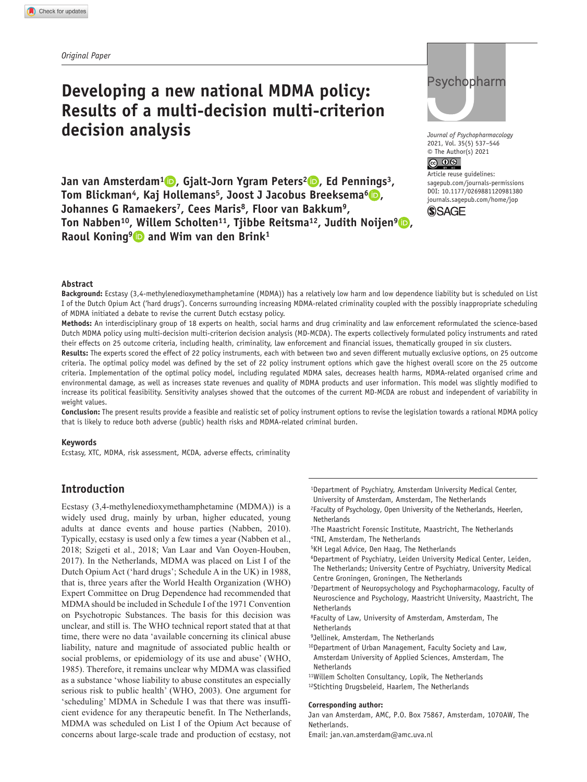# **Developing a new national MDMA policy: Results of a multi-decision multi-criterion decision analysis**

**Jan van Amsterdam<sup>1</sup> <b>D**, Gialt-Jorn Ygram Peters<sup>2</sup> **D**, Ed Pennings<sup>3</sup>, **Tom Blickman<sup>4</sup>, Kaj Hollemans<sup>5</sup>, Joost J Jacobus Breeksema<sup>6</sup> <b>D**, **Johannes G Ramaekers7, Cees Maris8, Floor van Bakkum9, Ton Nabben<sup>10</sup>, Willem Scholten<sup>11</sup>, Tiibbe Reitsma<sup>12</sup>, Judith Noijen<sup>9</sup> <b>D**, Raoul Koning<sup>9</sup> and Wim van den Brink<sup>1</sup>

# Psychopharm

*Journal of Psychopharmacology* 2021, Vol. 35(5) 537–546  $\circ$  The Author(s) 2021

Article reuse guidelines: [sagepub.com/journals-permissions](https://uk.sagepub.com/en-gb/journals-permissions) DOI: 10.1177/0269881120981380 [journals.sagepub.com/home/jop](https://journals.sagepub.com/home/jop) **SSAGE** 

#### **Abstract**

**Background:** Ecstasy (3,4-methylenedioxymethamphetamine (MDMA)) has a relatively low harm and low dependence liability but is scheduled on List I of the Dutch Opium Act ('hard drugs'). Concerns surrounding increasing MDMA-related criminality coupled with the possibly inappropriate scheduling of MDMA initiated a debate to revise the current Dutch ecstasy policy.

**Methods:** An interdisciplinary group of 18 experts on health, social harms and drug criminality and law enforcement reformulated the science-based Dutch MDMA policy using multi-decision multi-criterion decision analysis (MD-MCDA). The experts collectively formulated policy instruments and rated their effects on 25 outcome criteria, including health, criminality, law enforcement and financial issues, thematically grouped in six clusters.

**Results:** The experts scored the effect of 22 policy instruments, each with between two and seven different mutually exclusive options, on 25 outcome criteria. The optimal policy model was defined by the set of 22 policy instrument options which gave the highest overall score on the 25 outcome criteria. Implementation of the optimal policy model, including regulated MDMA sales, decreases health harms, MDMA-related organised crime and environmental damage, as well as increases state revenues and quality of MDMA products and user information. This model was slightly modified to increase its political feasibility. Sensitivity analyses showed that the outcomes of the current MD-MCDA are robust and independent of variability in weight values.

**Conclusion:** The present results provide a feasible and realistic set of policy instrument options to revise the legislation towards a rational MDMA policy that is likely to reduce both adverse (public) health risks and MDMA-related criminal burden.

#### **Keywords**

Ecstasy, XTC, MDMA, risk assessment, MCDA, adverse effects, criminality

# **Introduction**

Ecstasy (3,4-methylenedioxymethamphetamine (MDMA)) is a widely used drug, mainly by urban, higher educated, young adults at dance events and house parties (Nabben, 2010). Typically, ecstasy is used only a few times a year (Nabben et al., 2018; Szigeti et al., 2018; Van Laar and Van Ooyen-Houben, 2017). In the Netherlands, MDMA was placed on List I of the Dutch Opium Act ('hard drugs'; Schedule A in the UK) in 1988, that is, three years after the World Health Organization (WHO) Expert Committee on Drug Dependence had recommended that MDMA should be included in Schedule I of the 1971 Convention on Psychotropic Substances. The basis for this decision was unclear, and still is. The WHO technical report stated that at that time, there were no data 'available concerning its clinical abuse liability, nature and magnitude of associated public health or social problems, or epidemiology of its use and abuse' (WHO, 1985). Therefore, it remains unclear why MDMA was classified as a substance 'whose liability to abuse constitutes an especially serious risk to public health' (WHO, 2003). One argument for 'scheduling' MDMA in Schedule I was that there was insufficient evidence for any therapeutic benefit. In The Netherlands, MDMA was scheduled on List I of the Opium Act because of concerns about large-scale trade and production of ecstasy, not

- 1Department of Psychiatry, Amsterdam University Medical Center, University of Amsterdam, Amsterdam, The Netherlands
- 2Faculty of Psychology, Open University of the Netherlands, Heerlen, **Netherlands**
- 3The Maastricht Forensic Institute, Maastricht, The Netherlands 4TNI, Amsterdam, The Netherlands
- 
- 5KH Legal Advice, Den Haag, The Netherlands
- 6Department of Psychiatry, Leiden University Medical Center, Leiden, The Netherlands; University Centre of Psychiatry, University Medical Centre Groningen, Groningen, The Netherlands
- 7Department of Neuropsychology and Psychopharmacology, Faculty of Neuroscience and Psychology, Maastricht University, Maastricht, The Netherlands
- 8Faculty of Law, University of Amsterdam, Amsterdam, The Netherlands
- 9Jellinek, Amsterdam, The Netherlands
- 10Department of Urban Management, Faculty Society and Law,
- Amsterdam University of Applied Sciences, Amsterdam, The Netherlands
- 11Willem Scholten Consultancy, Lopik, The Netherlands
- 12Stichting Drugsbeleid, Haarlem, The Netherlands

#### **Corresponding author:**

Jan van Amsterdam, AMC, P.O. Box 75867, Amsterdam, 1070AW, The Netherlands.

Email: [jan.van.amsterdam@amc.uva.nl](mailto:jan.van.amsterdam@amc.uva.nl)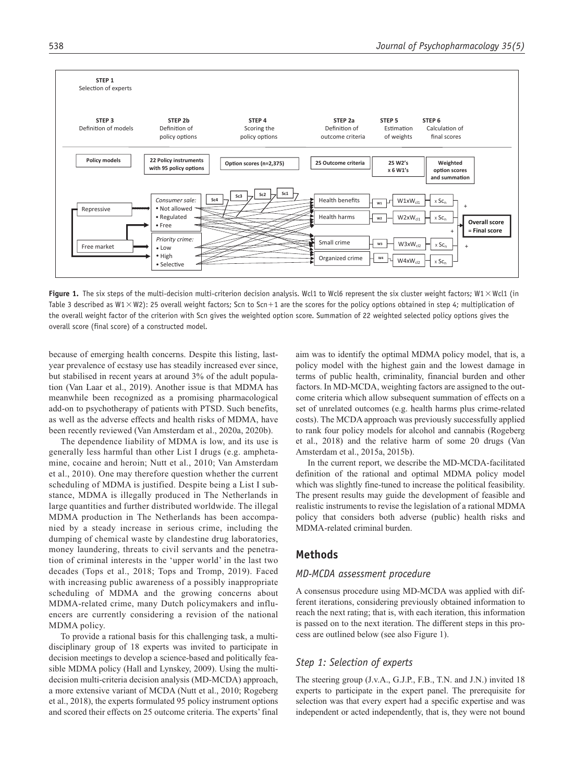

**Figure 1.** The six steps of the multi-decision multi-criterion decision analysis. Wcl1 to Wcl6 represent the six cluster weight factors; W1 × Wcl1 (in Table 3 described as W1  $\times$  W2): 25 overall weight factors; Scn to Scn+1 are the scores for the policy options obtained in step 4; multiplication of the overall weight factor of the criterion with Scn gives the weighted option score. Summation of 22 weighted selected policy options gives the overall score (final score) of a constructed model.

because of emerging health concerns. Despite this listing, lastyear prevalence of ecstasy use has steadily increased ever since, but stabilised in recent years at around 3% of the adult population (Van Laar et al., 2019). Another issue is that MDMA has meanwhile been recognized as a promising pharmacological add-on to psychotherapy of patients with PTSD. Such benefits, as well as the adverse effects and health risks of MDMA, have been recently reviewed (Van Amsterdam et al., 2020a, 2020b).

The dependence liability of MDMA is low, and its use is generally less harmful than other List I drugs (e.g. amphetamine, cocaine and heroin; Nutt et al., 2010; Van Amsterdam et al., 2010). One may therefore question whether the current scheduling of MDMA is justified. Despite being a List I substance, MDMA is illegally produced in The Netherlands in large quantities and further distributed worldwide. The illegal MDMA production in The Netherlands has been accompanied by a steady increase in serious crime, including the dumping of chemical waste by clandestine drug laboratories, money laundering, threats to civil servants and the penetration of criminal interests in the 'upper world' in the last two decades (Tops et al., 2018; Tops and Tromp, 2019). Faced with increasing public awareness of a possibly inappropriate scheduling of MDMA and the growing concerns about MDMA-related crime, many Dutch policymakers and influencers are currently considering a revision of the national MDMA policy.

To provide a rational basis for this challenging task, a multidisciplinary group of 18 experts was invited to participate in decision meetings to develop a science-based and politically feasible MDMA policy (Hall and Lynskey, 2009). Using the multidecision multi-criteria decision analysis (MD-MCDA) approach, a more extensive variant of MCDA (Nutt et al., 2010; Rogeberg et al., 2018), the experts formulated 95 policy instrument options and scored their effects on 25 outcome criteria. The experts' final aim was to identify the optimal MDMA policy model, that is, a policy model with the highest gain and the lowest damage in terms of public health, criminality, financial burden and other factors. In MD-MCDA, weighting factors are assigned to the outcome criteria which allow subsequent summation of effects on a set of unrelated outcomes (e.g. health harms plus crime-related costs). The MCDA approach was previously successfully applied to rank four policy models for alcohol and cannabis (Rogeberg et al., 2018) and the relative harm of some 20 drugs (Van Amsterdam et al., 2015a, 2015b).

In the current report, we describe the MD-MCDA-facilitated definition of the rational and optimal MDMA policy model which was slightly fine-tuned to increase the political feasibility. The present results may guide the development of feasible and realistic instruments to revise the legislation of a rational MDMA policy that considers both adverse (public) health risks and MDMA-related criminal burden.

## **Methods**

#### *MD-MCDA assessment procedure*

A consensus procedure using MD-MCDA was applied with different iterations, considering previously obtained information to reach the next rating; that is, with each iteration, this information is passed on to the next iteration. The different steps in this process are outlined below (see also Figure 1).

#### *Step 1: Selection of experts*

The steering group (J.v.A., G.J.P., F.B., T.N. and J.N.) invited 18 experts to participate in the expert panel. The prerequisite for selection was that every expert had a specific expertise and was independent or acted independently, that is, they were not bound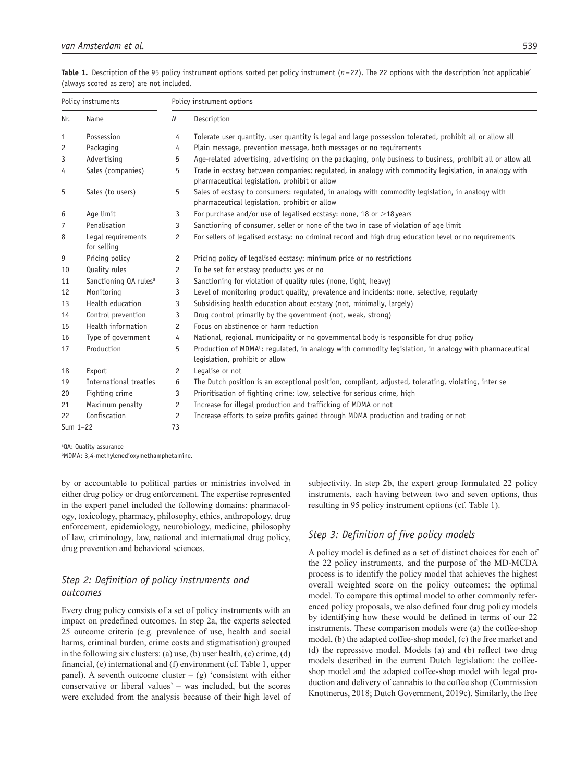|  | Table 1. Description of the 95 policy instrument options sorted per policy instrument $(n=22)$ . The 22 options with the description 'not applicable' |  |  |  |  |  |  |
|--|-------------------------------------------------------------------------------------------------------------------------------------------------------|--|--|--|--|--|--|
|  | (always scored as zero) are not included.                                                                                                             |  |  |  |  |  |  |

| Policy instruments |                                   | Policy instrument options |                                                                                                                                                        |  |  |  |  |  |
|--------------------|-----------------------------------|---------------------------|--------------------------------------------------------------------------------------------------------------------------------------------------------|--|--|--|--|--|
| Name<br>Nr.        |                                   | N                         | Description                                                                                                                                            |  |  |  |  |  |
| 1                  | Possession                        | 4                         | Tolerate user quantity, user quantity is legal and large possession tolerated, prohibit all or allow all                                               |  |  |  |  |  |
| 2                  | Packaging                         | 4                         | Plain message, prevention message, both messages or no requirements                                                                                    |  |  |  |  |  |
| 3                  | Advertising                       | 5                         | Age-related advertising, advertising on the packaging, only business to business, prohibit all or allow all                                            |  |  |  |  |  |
| 4                  | Sales (companies)                 | 5                         | Trade in ecstasy between companies: regulated, in analogy with commodity legislation, in analogy with<br>pharmaceutical legislation, prohibit or allow |  |  |  |  |  |
| 5                  | Sales (to users)                  | 5                         | Sales of ecstasy to consumers: regulated, in analogy with commodity legislation, in analogy with<br>pharmaceutical legislation, prohibit or allow      |  |  |  |  |  |
| 6                  | Age limit                         | 3                         | For purchase and/or use of legalised ecstasy: none, 18 or $>$ 18 years                                                                                 |  |  |  |  |  |
| 7                  | Penalisation                      | 3                         | Sanctioning of consumer, seller or none of the two in case of violation of age limit                                                                   |  |  |  |  |  |
| 8                  | Legal requirements<br>for selling | $\overline{c}$            | For sellers of legalised ecstasy: no criminal record and high drug education level or no requirements                                                  |  |  |  |  |  |
| 9                  | Pricing policy                    | 2                         | Pricing policy of legalised ecstasy: minimum price or no restrictions                                                                                  |  |  |  |  |  |
| 10                 | Quality rules                     | 2                         | To be set for ecstasy products: yes or no                                                                                                              |  |  |  |  |  |
| 11                 | Sanctioning QA rules <sup>a</sup> | 3                         | Sanctioning for violation of quality rules (none, light, heavy)                                                                                        |  |  |  |  |  |
| 12                 | Monitoring                        | 3                         | Level of monitoring product quality, prevalence and incidents: none, selective, regularly                                                              |  |  |  |  |  |
| 13                 | Health education                  | 3                         | Subsidising health education about ecstasy (not, minimally, largely)                                                                                   |  |  |  |  |  |
| 14                 | Control prevention                | 3                         | Drug control primarily by the government (not, weak, strong)                                                                                           |  |  |  |  |  |
| 15                 | Health information                | $\overline{c}$            | Focus on abstinence or harm reduction                                                                                                                  |  |  |  |  |  |
| 16                 | Type of government                | 4                         | National, regional, municipality or no governmental body is responsible for drug policy                                                                |  |  |  |  |  |
| 17                 | Production                        | 5                         | Production of MDMA <sup>b</sup> : regulated, in analogy with commodity legislation, in analogy with pharmaceutical<br>legislation, prohibit or allow   |  |  |  |  |  |
| 18                 | Export                            | 2                         | Legalise or not                                                                                                                                        |  |  |  |  |  |
| 19                 | International treaties            | 6                         | The Dutch position is an exceptional position, compliant, adjusted, tolerating, violating, inter se                                                    |  |  |  |  |  |
| 20                 | Fighting crime                    | 3                         | Prioritisation of fighting crime: low, selective for serious crime, high                                                                               |  |  |  |  |  |
| 21                 | Maximum penalty                   | 2                         | Increase for illegal production and trafficking of MDMA or not                                                                                         |  |  |  |  |  |
| 22                 | Confiscation                      | 2                         | Increase efforts to seize profits gained through MDMA production and trading or not                                                                    |  |  |  |  |  |
| Sum 1-22           |                                   | 73                        |                                                                                                                                                        |  |  |  |  |  |

aQA: Quality assurance

bMDMA: 3,4-methylenedioxymethamphetamine.

by or accountable to political parties or ministries involved in either drug policy or drug enforcement. The expertise represented in the expert panel included the following domains: pharmacology, toxicology, pharmacy, philosophy, ethics, anthropology, drug enforcement, epidemiology, neurobiology, medicine, philosophy of law, criminology, law, national and international drug policy, drug prevention and behavioral sciences.

# *Step 2: Definition of policy instruments and outcomes*

Every drug policy consists of a set of policy instruments with an impact on predefined outcomes. In step 2a, the experts selected 25 outcome criteria (e.g. prevalence of use, health and social harms, criminal burden, crime costs and stigmatisation) grouped in the following six clusters: (a) use, (b) user health, (c) crime, (d) financial, (e) international and (f) environment (cf. Table 1, upper panel). A seventh outcome cluster –  $(g)$  'consistent with either conservative or liberal values' – was included, but the scores were excluded from the analysis because of their high level of subjectivity. In step 2b, the expert group formulated 22 policy instruments, each having between two and seven options, thus resulting in 95 policy instrument options (cf. Table 1).

## *Step 3: Definition of five policy models*

A policy model is defined as a set of distinct choices for each of the 22 policy instruments, and the purpose of the MD-MCDA process is to identify the policy model that achieves the highest overall weighted score on the policy outcomes: the optimal model. To compare this optimal model to other commonly referenced policy proposals, we also defined four drug policy models by identifying how these would be defined in terms of our 22 instruments. These comparison models were (a) the coffee-shop model, (b) the adapted coffee-shop model, (c) the free market and (d) the repressive model. Models (a) and (b) reflect two drug models described in the current Dutch legislation: the coffeeshop model and the adapted coffee-shop model with legal production and delivery of cannabis to the coffee shop (Commission Knottnerus, 2018; Dutch Government, 2019c). Similarly, the free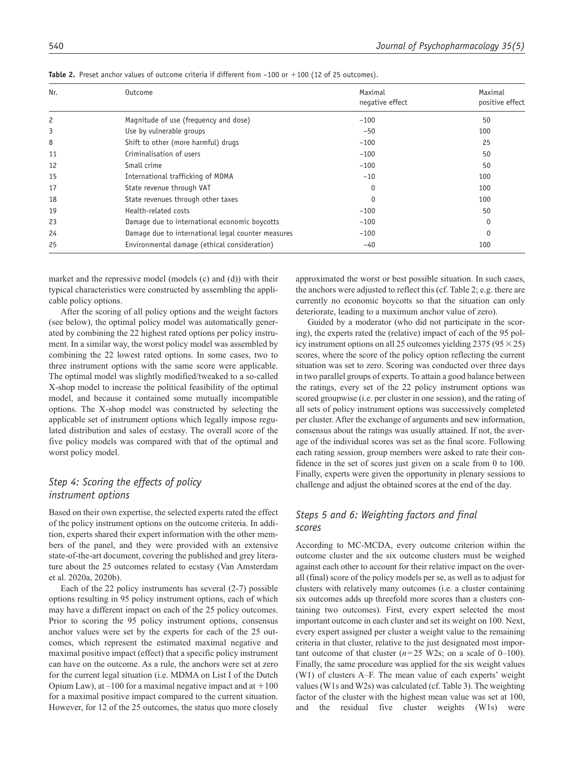| Nr. | Outcome                                            | Maximal<br>negative effect | Maximal<br>positive effect |
|-----|----------------------------------------------------|----------------------------|----------------------------|
| 2   | Magnitude of use (frequency and dose)              | $-100$                     | 50                         |
| 3   | Use by vulnerable groups                           | $-50$                      | 100                        |
| 8   | Shift to other (more harmful) drugs                | $-100$                     | 25                         |
| 11  | Criminalisation of users                           | $-100$                     | 50                         |
| 12  | Small crime                                        | $-100$                     | 50                         |
| 15  | International trafficking of MDMA                  | $-10$                      | 100                        |
| 17  | State revenue through VAT                          | 0                          | 100                        |
| 18  | State revenues through other taxes                 | $\Omega$                   | 100                        |
| 19  | Health-related costs                               | $-100$                     | 50                         |
| 23  | Damage due to international economic boycotts      | $-100$                     | 0                          |
| 24  | Damage due to international legal counter measures | $-100$                     | 0                          |
| 25  | Environmental damage (ethical consideration)       | $-40$                      | 100                        |

**Table 2.** Preset anchor values of outcome criteria if different from -100 or +100 (12 of 25 outcomes).

market and the repressive model (models (c) and (d)) with their typical characteristics were constructed by assembling the applicable policy options.

After the scoring of all policy options and the weight factors (see below), the optimal policy model was automatically generated by combining the 22 highest rated options per policy instrument. In a similar way, the worst policy model was assembled by combining the 22 lowest rated options. In some cases, two to three instrument options with the same score were applicable. The optimal model was slightly modified/tweaked to a so-called X-shop model to increase the political feasibility of the optimal model, and because it contained some mutually incompatible options. The X-shop model was constructed by selecting the applicable set of instrument options which legally impose regulated distribution and sales of ecstasy. The overall score of the five policy models was compared with that of the optimal and worst policy model.

# *Step 4: Scoring the effects of policy instrument options*

Based on their own expertise, the selected experts rated the effect of the policy instrument options on the outcome criteria. In addition, experts shared their expert information with the other members of the panel, and they were provided with an extensive state-of-the-art document, covering the published and grey literature about the 25 outcomes related to ecstasy (Van Amsterdam et al. 2020a, 2020b).

Each of the 22 policy instruments has several (2-7) possible options resulting in 95 policy instrument options, each of which may have a different impact on each of the 25 policy outcomes. Prior to scoring the 95 policy instrument options, consensus anchor values were set by the experts for each of the 25 outcomes, which represent the estimated maximal negative and maximal positive impact (effect) that a specific policy instrument can have on the outcome. As a rule, the anchors were set at zero for the current legal situation (i.e. MDMA on List I of the Dutch Opium Law), at  $-100$  for a maximal negative impact and at  $+100$ for a maximal positive impact compared to the current situation. However, for 12 of the 25 outcomes, the status quo more closely

approximated the worst or best possible situation. In such cases, the anchors were adjusted to reflect this (cf. Table 2; e.g. there are currently no economic boycotts so that the situation can only deteriorate, leading to a maximum anchor value of zero).

Guided by a moderator (who did not participate in the scoring), the experts rated the (relative) impact of each of the 95 policy instrument options on all 25 outcomes yielding  $2375 (95 \times 25)$ scores, where the score of the policy option reflecting the current situation was set to zero. Scoring was conducted over three days in two parallel groups of experts. To attain a good balance between the ratings, every set of the 22 policy instrument options was scored groupwise (i.e. per cluster in one session), and the rating of all sets of policy instrument options was successively completed per cluster. After the exchange of arguments and new information, consensus about the ratings was usually attained. If not, the average of the individual scores was set as the final score. Following each rating session, group members were asked to rate their confidence in the set of scores just given on a scale from 0 to 100. Finally, experts were given the opportunity in plenary sessions to challenge and adjust the obtained scores at the end of the day.

# *Steps 5 and 6: Weighting factors and final scores*

According to MC-MCDA, every outcome criterion within the outcome cluster and the six outcome clusters must be weighed against each other to account for their relative impact on the overall (final) score of the policy models per se, as well as to adjust for clusters with relatively many outcomes (i.e. a cluster containing six outcomes adds up threefold more scores than a clusters containing two outcomes). First, every expert selected the most important outcome in each cluster and set its weight on 100. Next, every expert assigned per cluster a weight value to the remaining criteria in that cluster, relative to the just designated most important outcome of that cluster  $(n=25 \text{ W2s})$ ; on a scale of 0–100). Finally, the same procedure was applied for the six weight values (W1) of clusters A–F. The mean value of each experts' weight values (W1s and W2s) was calculated (cf. Table 3). The weighting factor of the cluster with the highest mean value was set at 100, and the residual five cluster weights (W1s) were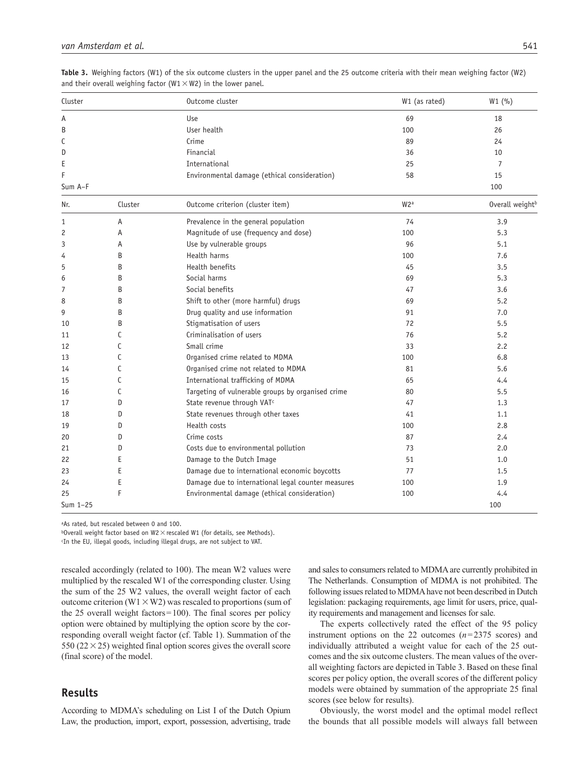| Cluster  |         | Outcome cluster                                    | W1 (as rated)    | W1(%)           |
|----------|---------|----------------------------------------------------|------------------|-----------------|
| Α        |         | Use                                                | 69               | 18              |
| B        |         | User health                                        | 100              | 26              |
| С        |         | Crime                                              | 89               | 24              |
| D        |         | Financial                                          | 36               | 10              |
| Е        |         | International                                      | 25               | $\overline{7}$  |
| F        |         | Environmental damage (ethical consideration)       | 58               | 15              |
| Sum A-F  |         |                                                    |                  | 100             |
| Nr.      | Cluster | Outcome criterion (cluster item)                   | W <sub>2</sub> a | Overall weightb |
| 1        | Α       | Prevalence in the general population               | 74               | 3.9             |
| 2        | Α       | Magnitude of use (frequency and dose)              | 100              | 5.3             |
| 3        | A       | Use by vulnerable groups                           | 96               | 5.1             |
| 4        | B       | Health harms                                       | 100              | 7.6             |
| 5        | B       | Health benefits                                    | 45               | 3.5             |
| 6        | B       | Social harms                                       | 69               | 5.3             |
| 7        | B       | Social benefits                                    | 47               | 3.6             |
| 8        | B       | Shift to other (more harmful) drugs                | 69               | 5.2             |
| 9        | B       | Drug quality and use information                   | 91               | 7.0             |
| 10       | B       | Stigmatisation of users                            | 72               | 5.5             |
| 11       | C       | Criminalisation of users                           | 76               | 5.2             |
| 12       | C       | Small crime                                        | 33               | 2.2             |
| 13       | C       | Organised crime related to MDMA                    | 100              | 6.8             |
| 14       | C       | Organised crime not related to MDMA                | 81               | 5.6             |
| 15       | C       | International trafficking of MDMA                  | 65               | 4.4             |
| 16       | C       | Targeting of vulnerable groups by organised crime  | 80               | 5.5             |
| 17       | D       | State revenue through VAT <sup>c</sup>             | 47               | 1.3             |
| 18       | D       | State revenues through other taxes                 | 41               | 1.1             |
| 19       | D       | Health costs                                       | 100              | 2.8             |
| 20       | D       | Crime costs                                        | 87               | 2.4             |
| 21       | D       | Costs due to environmental pollution               | 73               | 2.0             |
| 22       | E       | Damage to the Dutch Image                          | 51               | 1.0             |
| 23       | E       | Damage due to international economic boycotts      | 77               | 1.5             |
| 24       | E       | Damage due to international legal counter measures | 100              | 1.9             |
| 25       | F       | Environmental damage (ethical consideration)       | 100              | 4.4             |
| Sum 1-25 |         |                                                    |                  | 100             |

**Table 3.** Weighing factors (W1) of the six outcome clusters in the upper panel and the 25 outcome criteria with their mean weighing factor (W2) and their overall weighing factor ( $W1 \times W2$ ) in the lower panel.

aAs rated, but rescaled between 0 and 100.

 $b$ Overall weight factor based on W2  $\times$  rescaled W1 (for details, see Methods).

c In the EU, illegal goods, including illegal drugs, are not subject to VAT.

rescaled accordingly (related to 100). The mean W2 values were multiplied by the rescaled W1 of the corresponding cluster. Using the sum of the 25 W2 values, the overall weight factor of each outcome criterion (W1  $\times$  W2) was rescaled to proportions (sum of the 25 overall weight factors=100). The final scores per policy option were obtained by multiplying the option score by the corresponding overall weight factor (cf. Table 1). Summation of the 550 ( $22 \times 25$ ) weighted final option scores gives the overall score (final score) of the model.

# **Results**

According to MDMA's scheduling on List I of the Dutch Opium Law, the production, import, export, possession, advertising, trade and sales to consumers related to MDMA are currently prohibited in The Netherlands. Consumption of MDMA is not prohibited. The following issues related to MDMA have not been described in Dutch legislation: packaging requirements, age limit for users, price, quality requirements and management and licenses for sale.

The experts collectively rated the effect of the 95 policy instrument options on the 22 outcomes (*n*=2375 scores) and individually attributed a weight value for each of the 25 outcomes and the six outcome clusters. The mean values of the overall weighting factors are depicted in Table 3. Based on these final scores per policy option, the overall scores of the different policy models were obtained by summation of the appropriate 25 final scores (see below for results).

Obviously, the worst model and the optimal model reflect the bounds that all possible models will always fall between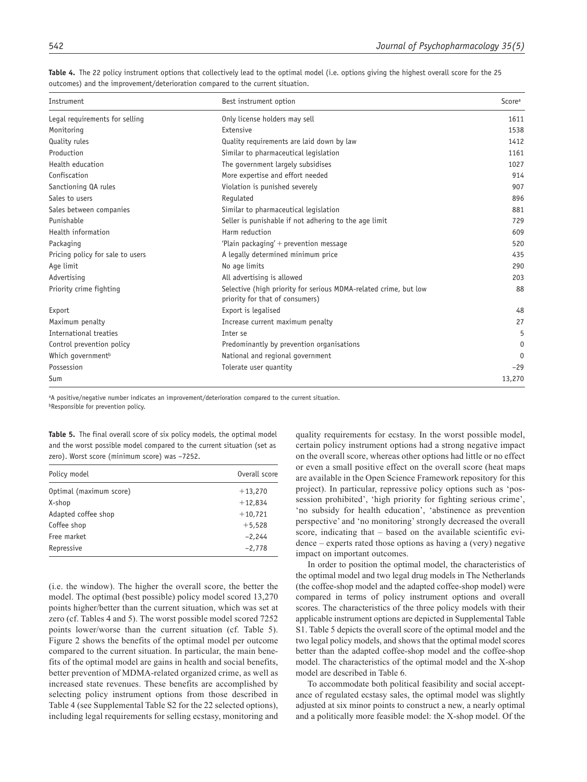| Instrument                       | Best instrument option                                                                              | Scorea      |
|----------------------------------|-----------------------------------------------------------------------------------------------------|-------------|
| Legal requirements for selling   | Only license holders may sell                                                                       | 1611        |
| Monitoring                       | Extensive                                                                                           | 1538        |
| Quality rules                    | Quality requirements are laid down by law                                                           | 1412        |
| Production                       | Similar to pharmaceutical legislation                                                               | 1161        |
| Health education                 | The government largely subsidises                                                                   | 1027        |
| Confiscation                     | More expertise and effort needed                                                                    | 914         |
| Sanctioning QA rules             | Violation is punished severely                                                                      | 907         |
| Sales to users                   | Regulated                                                                                           | 896         |
| Sales between companies          | Similar to pharmaceutical legislation                                                               | 881         |
| Punishable                       | Seller is punishable if not adhering to the age limit                                               | 729         |
| Health information               | Harm reduction                                                                                      | 609         |
| Packaging                        | 'Plain packaging' $+$ prevention message                                                            | 520         |
| Pricing policy for sale to users | A legally determined minimum price                                                                  | 435         |
| Age limit                        | No age limits                                                                                       | 290         |
| Advertising                      | All advertising is allowed                                                                          | 203         |
| Priority crime fighting          | Selective (high priority for serious MDMA-related crime, but low<br>priority for that of consumers) | 88          |
| Export                           | Export is legalised                                                                                 | 48          |
| Maximum penalty                  | Increase current maximum penalty                                                                    | 27          |
| International treaties           | Inter se                                                                                            | 5           |
| Control prevention policy        | Predominantly by prevention organisations                                                           | $\mathbf 0$ |
| Which government <sup>b</sup>    | National and regional government                                                                    | $\Omega$    |
| Possession                       | Tolerate user quantity                                                                              | $-29$       |
| Sum                              |                                                                                                     | 13,270      |

Table 4. The 22 policy instrument options that collectively lead to the optimal model (i.e. options giving the highest overall score for the 25 outcomes) and the improvement/deterioration compared to the current situation.

aA positive/negative number indicates an improvement/deterioration compared to the current situation. **bResponsible for prevention policy.** 

**Table 5.** The final overall score of six policy models, the optimal model and the worst possible model compared to the current situation (set as zero). Worst score (minimum score) was –7252.

| Policy model            | Overall score |
|-------------------------|---------------|
| Optimal (maximum score) | $+13,270$     |
| X-shop                  | $+12,834$     |
| Adapted coffee shop     | $+10,721$     |
| Coffee shop             | $+5,528$      |
| Free market             | $-2,244$      |
| Repressive              | $-2.778$      |

(i.e. the window). The higher the overall score, the better the model. The optimal (best possible) policy model scored 13,270 points higher/better than the current situation, which was set at zero (cf. Tables 4 and 5). The worst possible model scored 7252 points lower/worse than the current situation (cf. Table 5). Figure 2 shows the benefits of the optimal model per outcome compared to the current situation. In particular, the main benefits of the optimal model are gains in health and social benefits, better prevention of MDMA-related organized crime, as well as increased state revenues. These benefits are accomplished by selecting policy instrument options from those described in Table 4 (see Supplemental Table S2 for the 22 selected options), including legal requirements for selling ecstasy, monitoring and

quality requirements for ecstasy. In the worst possible model, certain policy instrument options had a strong negative impact on the overall score, whereas other options had little or no effect or even a small positive effect on the overall score (heat maps are available in the Open Science Framework repository for this project). In particular, repressive policy options such as 'possession prohibited', 'high priority for fighting serious crime', 'no subsidy for health education', 'abstinence as prevention perspective' and 'no monitoring' strongly decreased the overall score, indicating that – based on the available scientific evidence – experts rated those options as having a (very) negative impact on important outcomes.

In order to position the optimal model, the characteristics of the optimal model and two legal drug models in The Netherlands (the coffee-shop model and the adapted coffee-shop model) were compared in terms of policy instrument options and overall scores. The characteristics of the three policy models with their applicable instrument options are depicted in Supplemental Table S1. Table 5 depicts the overall score of the optimal model and the two legal policy models, and shows that the optimal model scores better than the adapted coffee-shop model and the coffee-shop model. The characteristics of the optimal model and the X-shop model are described in Table 6.

To accommodate both political feasibility and social acceptance of regulated ecstasy sales, the optimal model was slightly adjusted at six minor points to construct a new, a nearly optimal and a politically more feasible model: the X-shop model. Of the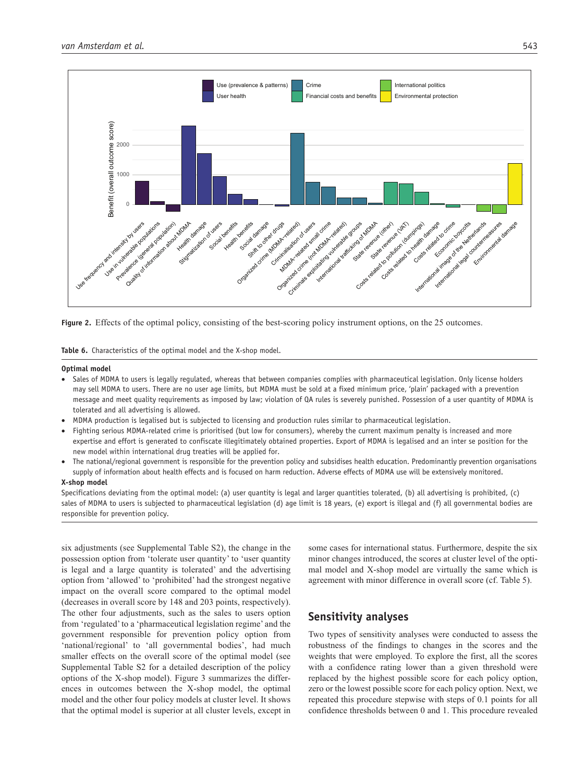

**Figure 2.** Effects of the optimal policy, consisting of the best-scoring policy instrument options, on the 25 outcomes.

**Table 6.** Characteristics of the optimal model and the X-shop model.

#### **Optimal model**

- Sales of MDMA to users is legally regulated, whereas that between companies complies with pharmaceutical legislation. Only license holders may sell MDMA to users. There are no user age limits, but MDMA must be sold at a fixed minimum price, 'plain' packaged with a prevention message and meet quality requirements as imposed by law; violation of QA rules is severely punished. Possession of a user quantity of MDMA is tolerated and all advertising is allowed.
- MDMA production is legalised but is subjected to licensing and production rules similar to pharmaceutical legislation.
- Fighting serious MDMA-related crime is prioritised (but low for consumers), whereby the current maximum penalty is increased and more expertise and effort is generated to confiscate illegitimately obtained properties. Export of MDMA is legalised and an inter se position for the new model within international drug treaties will be applied for.
- The national/regional government is responsible for the prevention policy and subsidises health education. Predominantly prevention organisations supply of information about health effects and is focused on harm reduction. Adverse effects of MDMA use will be extensively monitored.

#### **X-shop model**

Specifications deviating from the optimal model: (a) user quantity is legal and larger quantities tolerated, (b) all advertising is prohibited, (c) sales of MDMA to users is subjected to pharmaceutical legislation (d) age limit is 18 years, (e) export is illegal and (f) all governmental bodies are responsible for prevention policy.

six adjustments (see Supplemental Table S2), the change in the possession option from 'tolerate user quantity' to 'user quantity is legal and a large quantity is tolerated' and the advertising option from 'allowed' to 'prohibited' had the strongest negative impact on the overall score compared to the optimal model (decreases in overall score by 148 and 203 points, respectively). The other four adjustments, such as the sales to users option from 'regulated' to a 'pharmaceutical legislation regime' and the government responsible for prevention policy option from 'national/regional' to 'all governmental bodies', had much smaller effects on the overall score of the optimal model (see Supplemental Table S2 for a detailed description of the policy options of the X-shop model). Figure 3 summarizes the differences in outcomes between the X-shop model, the optimal model and the other four policy models at cluster level. It shows that the optimal model is superior at all cluster levels, except in some cases for international status. Furthermore, despite the six minor changes introduced, the scores at cluster level of the optimal model and X-shop model are virtually the same which is agreement with minor difference in overall score (cf. Table 5).

# **Sensitivity analyses**

Two types of sensitivity analyses were conducted to assess the robustness of the findings to changes in the scores and the weights that were employed. To explore the first, all the scores with a confidence rating lower than a given threshold were replaced by the highest possible score for each policy option, zero or the lowest possible score for each policy option. Next, we repeated this procedure stepwise with steps of 0.1 points for all confidence thresholds between 0 and 1. This procedure revealed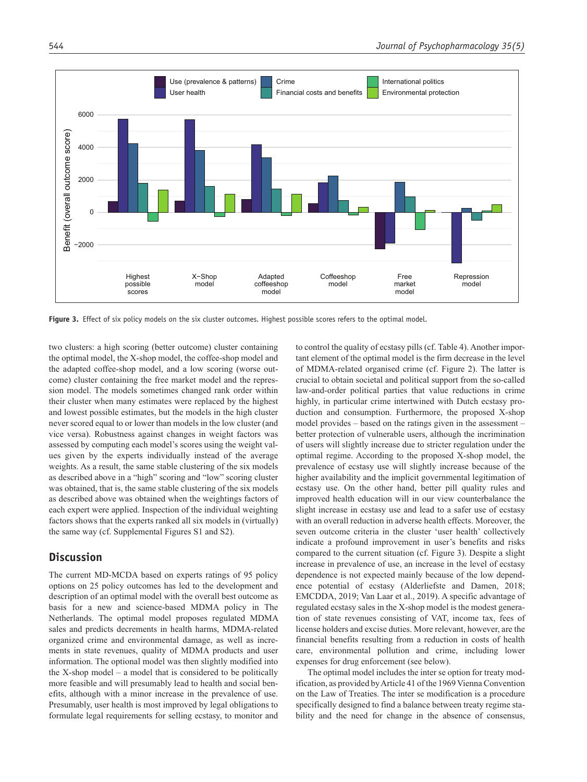

**Figure 3.** Effect of six policy models on the six cluster outcomes. Highest possible scores refers to the optimal model.

two clusters: a high scoring (better outcome) cluster containing the optimal model, the X-shop model, the coffee-shop model and the adapted coffee-shop model, and a low scoring (worse outcome) cluster containing the free market model and the repression model. The models sometimes changed rank order within their cluster when many estimates were replaced by the highest and lowest possible estimates, but the models in the high cluster never scored equal to or lower than models in the low cluster (and vice versa). Robustness against changes in weight factors was assessed by computing each model's scores using the weight values given by the experts individually instead of the average weights. As a result, the same stable clustering of the six models as described above in a "high" scoring and "low" scoring cluster was obtained, that is, the same stable clustering of the six models as described above was obtained when the weightings factors of each expert were applied. Inspection of the individual weighting factors shows that the experts ranked all six models in (virtually) the same way (cf. Supplemental Figures S1 and S2).

#### **Discussion**

The current MD-MCDA based on experts ratings of 95 policy options on 25 policy outcomes has led to the development and description of an optimal model with the overall best outcome as basis for a new and science-based MDMA policy in The Netherlands. The optimal model proposes regulated MDMA sales and predicts decrements in health harms, MDMA-related organized crime and environmental damage, as well as increments in state revenues, quality of MDMA products and user information. The optional model was then slightly modified into the X-shop model – a model that is considered to be politically more feasible and will presumably lead to health and social benefits, although with a minor increase in the prevalence of use. Presumably, user health is most improved by legal obligations to formulate legal requirements for selling ecstasy, to monitor and

to control the quality of ecstasy pills (cf. Table 4). Another important element of the optimal model is the firm decrease in the level of MDMA-related organised crime (cf. Figure 2). The latter is crucial to obtain societal and political support from the so-called law-and-order political parties that value reductions in crime highly, in particular crime intertwined with Dutch ecstasy production and consumption. Furthermore, the proposed X-shop model provides – based on the ratings given in the assessment – better protection of vulnerable users, although the incrimination of users will slightly increase due to stricter regulation under the optimal regime. According to the proposed X-shop model, the prevalence of ecstasy use will slightly increase because of the higher availability and the implicit governmental legitimation of ecstasy use. On the other hand, better pill quality rules and improved health education will in our view counterbalance the slight increase in ecstasy use and lead to a safer use of ecstasy with an overall reduction in adverse health effects. Moreover, the seven outcome criteria in the cluster 'user health' collectively indicate a profound improvement in user's benefits and risks compared to the current situation (cf. Figure 3). Despite a slight increase in prevalence of use, an increase in the level of ecstasy dependence is not expected mainly because of the low dependence potential of ecstasy (Alderliefste and Damen, 2018; EMCDDA, 2019; Van Laar et al., 2019). A specific advantage of regulated ecstasy sales in the X-shop model is the modest generation of state revenues consisting of VAT, income tax, fees of license holders and excise duties. More relevant, however, are the financial benefits resulting from a reduction in costs of health care, environmental pollution and crime, including lower expenses for drug enforcement (see below).

The optimal model includes the inter se option for treaty modification, as provided by Article 41 of the 1969 Vienna Convention on the Law of Treaties. The inter se modification is a procedure specifically designed to find a balance between treaty regime stability and the need for change in the absence of consensus,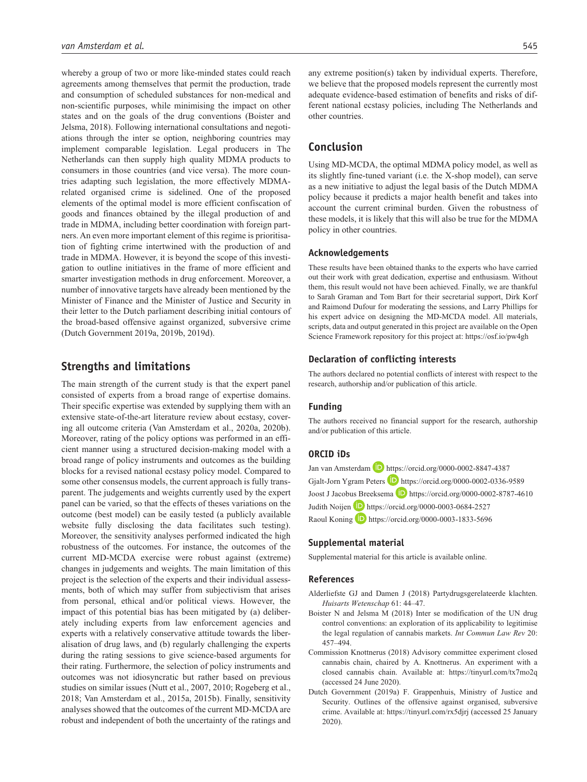whereby a group of two or more like-minded states could reach agreements among themselves that permit the production, trade and consumption of scheduled substances for non-medical and non-scientific purposes, while minimising the impact on other states and on the goals of the drug conventions (Boister and Jelsma, 2018). Following international consultations and negotiations through the inter se option, neighboring countries may implement comparable legislation. Legal producers in The Netherlands can then supply high quality MDMA products to consumers in those countries (and vice versa). The more countries adapting such legislation, the more effectively MDMArelated organised crime is sidelined. One of the proposed elements of the optimal model is more efficient confiscation of goods and finances obtained by the illegal production of and trade in MDMA, including better coordination with foreign partners. An even more important element of this regime is prioritisation of fighting crime intertwined with the production of and trade in MDMA. However, it is beyond the scope of this investigation to outline initiatives in the frame of more efficient and smarter investigation methods in drug enforcement. Moreover, a number of innovative targets have already been mentioned by the Minister of Finance and the Minister of Justice and Security in their letter to the Dutch parliament describing initial contours of the broad-based offensive against organized, subversive crime (Dutch Government 2019a, 2019b, 2019d).

### **Strengths and limitations**

The main strength of the current study is that the expert panel consisted of experts from a broad range of expertise domains. Their specific expertise was extended by supplying them with an extensive state-of-the-art literature review about ecstasy, covering all outcome criteria (Van Amsterdam et al., 2020a, 2020b). Moreover, rating of the policy options was performed in an efficient manner using a structured decision-making model with a broad range of policy instruments and outcomes as the building blocks for a revised national ecstasy policy model. Compared to some other consensus models, the current approach is fully transparent. The judgements and weights currently used by the expert panel can be varied, so that the effects of theses variations on the outcome (best model) can be easily tested (a publicly available website fully disclosing the data facilitates such testing). Moreover, the sensitivity analyses performed indicated the high robustness of the outcomes. For instance, the outcomes of the current MD-MCDA exercise were robust against (extreme) changes in judgements and weights. The main limitation of this project is the selection of the experts and their individual assessments, both of which may suffer from subjectivism that arises from personal, ethical and/or political views. However, the impact of this potential bias has been mitigated by (a) deliberately including experts from law enforcement agencies and experts with a relatively conservative attitude towards the liberalisation of drug laws, and (b) regularly challenging the experts during the rating sessions to give science-based arguments for their rating. Furthermore, the selection of policy instruments and outcomes was not idiosyncratic but rather based on previous studies on similar issues (Nutt et al., 2007, 2010; Rogeberg et al., 2018; Van Amsterdam et al., 2015a, 2015b). Finally, sensitivity analyses showed that the outcomes of the current MD-MCDA are robust and independent of both the uncertainty of the ratings and any extreme position(s) taken by individual experts. Therefore, we believe that the proposed models represent the currently most adequate evidence-based estimation of benefits and risks of different national ecstasy policies, including The Netherlands and other countries.

## **Conclusion**

Using MD-MCDA, the optimal MDMA policy model, as well as its slightly fine-tuned variant (i.e. the X-shop model), can serve as a new initiative to adjust the legal basis of the Dutch MDMA policy because it predicts a major health benefit and takes into account the current criminal burden. Given the robustness of these models, it is likely that this will also be true for the MDMA policy in other countries.

#### **Acknowledgements**

These results have been obtained thanks to the experts who have carried out their work with great dedication, expertise and enthusiasm. Without them, this result would not have been achieved. Finally, we are thankful to Sarah Graman and Tom Bart for their secretarial support, Dirk Korf and Raimond Dufour for moderating the sessions, and Larry Phillips for his expert advice on designing the MD-MCDA model. All materials, scripts, data and output generated in this project are available on the Open Science Framework repository for this project at:<https://osf.io/pw4gh>

#### **Declaration of conflicting interests**

The authors declared no potential conflicts of interest with respect to the research, authorship and/or publication of this article.

#### **Funding**

The authors received no financial support for the research, authorship and/or publication of this article.

#### **ORCID iDs**

Jan van Amsterdam D <https://orcid.org/0000-0002-8847-4387> Gjalt-Jorn Ygram Peters D <https://orcid.org/0000-0002-0336-9589> Joost J Jacobus Breeksema D <https://orcid.org/0000-0002-8787-4610> Judith Noijen <https://orcid.org/0000-0003-0684-2527> Raoul Koning **D** <https://orcid.org/0000-0003-1833-5696>

#### **Supplemental material**

Supplemental material for this article is available online.

#### **References**

- Alderliefste GJ and Damen J (2018) Partydrugsgerelateerde klachten. *Huisarts Wetenschap* 61: 44–47.
- Boister N and Jelsma M (2018) Inter se modification of the UN drug control conventions: an exploration of its applicability to legitimise the legal regulation of cannabis markets. *Int Commun Law Rev* 20: 457–494.
- Commission Knottnerus (2018) Advisory committee experiment closed cannabis chain, chaired by A. Knottnerus. An experiment with a closed cannabis chain. Available at: <https://tinyurl.com/tx7mo2q> (accessed 24 June 2020).
- Dutch Government (2019a) F. Grappenhuis, Ministry of Justice and Security. Outlines of the offensive against organised, subversive crime. Available at: <https://tinyurl.com/rx5djrj>(accessed 25 January 2020).